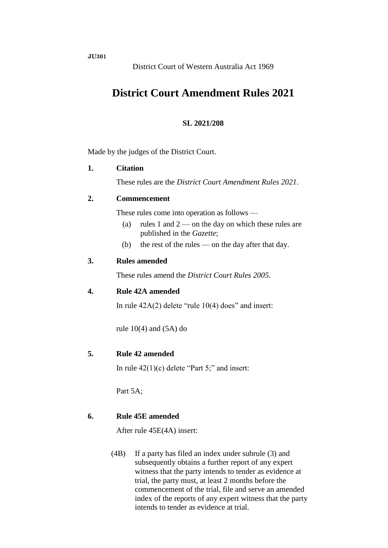**JU301**

District Court of Western Australia Act 1969

# **District Court Amendment Rules 2021**

#### **SL 2021/208**

Made by the judges of the District Court.

#### **1. Citation**

These rules are the *District Court Amendment Rules 2021*.

#### **2. Commencement**

These rules come into operation as follows —

- (a) rules 1 and  $2$  on the day on which these rules are published in the *Gazette*;
- (b) the rest of the rules on the day after that day.

#### **3. Rules amended**

These rules amend the *District Court Rules 2005*.

## **4. Rule 42A amended**

In rule  $42A(2)$  delete "rule  $10(4)$  does" and insert:

rule  $10(4)$  and  $(5A)$  do

## **5. Rule 42 amended**

In rule  $42(1)(c)$  delete "Part 5;" and insert:

Part 5A;

## **6. Rule 45E amended**

After rule 45E(4A) insert:

(4B) If a party has filed an index under subrule (3) and subsequently obtains a further report of any expert witness that the party intends to tender as evidence at trial, the party must, at least 2 months before the commencement of the trial, file and serve an amended index of the reports of any expert witness that the party intends to tender as evidence at trial.